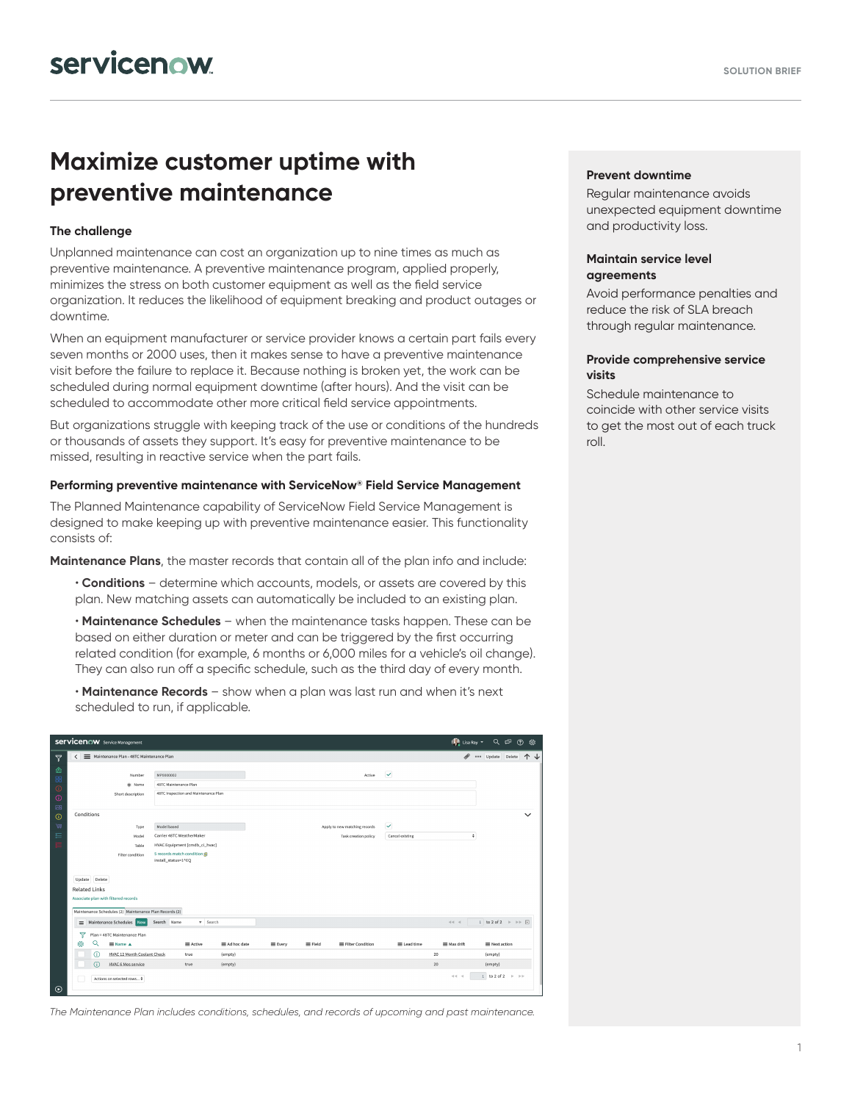# **Maximize customer uptime with preventive maintenance**

### **The challenge**

Unplanned maintenance can cost an organization up to nine times as much as preventive maintenance. A preventive maintenance program, applied properly, minimizes the stress on both customer equipment as well as the field service organization. It reduces the likelihood of equipment breaking and product outages or downtime.

When an equipment manufacturer or service provider knows a certain part fails every seven months or 2000 uses, then it makes sense to have a preventive maintenance visit before the failure to replace it. Because nothing is broken yet, the work can be scheduled during normal equipment downtime (after hours). And the visit can be scheduled to accommodate other more critical field service appointments.

But organizations struggle with keeping track of the use or conditions of the hundreds or thousands of assets they support. It's easy for preventive maintenance to be missed, resulting in reactive service when the part fails.

#### **Performing preventive maintenance with ServiceNow® Field Service Management**

The Planned Maintenance capability of ServiceNow Field Service Management is designed to make keeping up with preventive maintenance easier. This functionality consists of:

**Maintenance Plans**, the master records that contain all of the plan info and include:

- **Conditions** determine which accounts, models, or assets are covered by this plan. New matching assets can automatically be included to an existing plan.
- **Maintenance Schedules** when the maintenance tasks happen. These can be based on either duration or meter and can be triggered by the first occurring related condition (for example, 6 months or 6,000 miles for a vehicle's oil change). They can also run off a specific schedule, such as the third day of every month.

• **Maintenance Records** – show when a plan was last run and when it's next scheduled to run, if applicable.

| <b>Servicenow</b> Service Management |                                                                      |                  |                                          |                                    |                                      |                      |         |                |                               |                 |               |                    |                                         | (C Lisa Ray v Q ロ ② 必                                                    |  |
|--------------------------------------|----------------------------------------------------------------------|------------------|------------------------------------------|------------------------------------|--------------------------------------|----------------------|---------|----------------|-------------------------------|-----------------|---------------|--------------------|-----------------------------------------|--------------------------------------------------------------------------|--|
| $\triangledown$                      | ≺                                                                    |                  | Maintenance Plan - 48TC Maintenance Plan |                                    |                                      |                      |         |                |                               |                 |               | no update Delete 1 |                                         |                                                                          |  |
| 仚<br>88<br>$\odot$<br>$\odot$<br>囫   |                                                                      |                  | Number<br>* Name<br>Short description    | MP0000002<br>48TC Maintenance Plan | 48TC Inspection and Maintenance Plan |                      |         |                | Active                        | $\checkmark$    |               |                    |                                         |                                                                          |  |
| $\odot$                              |                                                                      | Conditions       |                                          |                                    |                                      |                      |         |                |                               |                 |               |                    |                                         | $\checkmark$                                                             |  |
| 短                                    |                                                                      |                  | Type                                     | Model based                        |                                      |                      |         |                | Apply to new matching records | ⊻               |               |                    |                                         |                                                                          |  |
| 這                                    |                                                                      |                  | Model                                    | Carrier 48TC WeatherMaker          |                                      |                      |         |                | Task creation policy          | Cancel existing |               | ٠                  |                                         |                                                                          |  |
|                                      |                                                                      |                  | Table                                    |                                    | HVAC Equipment [cmdb_ci_hvac]        |                      |         |                |                               |                 |               |                    |                                         |                                                                          |  |
|                                      | 5 records match condition<br>Filter condition<br>install_status=1^EQ |                  |                                          |                                    |                                      |                      |         |                |                               |                 |               |                    |                                         |                                                                          |  |
|                                      |                                                                      | Delete<br>Update |                                          |                                    |                                      |                      |         |                |                               |                 |               |                    |                                         |                                                                          |  |
|                                      | <b>Related Links</b>                                                 |                  |                                          |                                    |                                      |                      |         |                |                               |                 |               |                    |                                         |                                                                          |  |
|                                      | Associate plan with filtered records                                 |                  |                                          |                                    |                                      |                      |         |                |                               |                 |               |                    |                                         |                                                                          |  |
|                                      | Maintenance Schedules (2) Maintenance Plan Records (2)               |                  |                                          |                                    |                                      |                      |         |                |                               |                 |               |                    |                                         |                                                                          |  |
|                                      |                                                                      |                  | Maintenance Schedules New                | Search Name                        | v Search                             |                      |         |                |                               |                 | $\Rightarrow$ |                    |                                         | 1 to 2 of 2 $\triangleright$ $\triangleright$ $\triangleright$ $\square$ |  |
|                                      | ▽                                                                    |                  | Plan = 48TC Maintenance Plan             |                                    |                                      |                      |         |                |                               |                 |               |                    |                                         |                                                                          |  |
|                                      | 愆                                                                    | Q                | ≡ Name A                                 |                                    | = Active                             | $\equiv$ Ad hoc date | E Every | $\equiv$ Field | E Filter Condition            | E Lead time     | ≡ Max drift   |                    | ■ Next action                           |                                                                          |  |
|                                      |                                                                      | ⋒                | <b>HVAC 12 Month Coolant Check</b>       |                                    | true                                 | (empty)              |         |                |                               |                 | 20            | (empty)            |                                         |                                                                          |  |
|                                      |                                                                      | ന                | <b>HVAC 6 Mos service</b>                |                                    | true                                 | (empty)              |         |                |                               |                 | 20            | (empty)            |                                         |                                                                          |  |
| $\odot$                              |                                                                      |                  | Actions on selected rows $\phi$          |                                    |                                      |                      |         |                |                               |                 | $44 - 4$      |                    | 1 to 2 of 2 $\rightarrow$ $\rightarrow$ |                                                                          |  |

*The Maintenance Plan includes conditions, schedules, and records of upcoming and past maintenance.* 

#### **Prevent downtime**

Regular maintenance avoids unexpected equipment downtime and productivity loss.

#### **Maintain service level agreements**

Avoid performance penalties and reduce the risk of SLA breach through regular maintenance.

### **Provide comprehensive service visits**

Schedule maintenance to coincide with other service visits to get the most out of each truck roll.